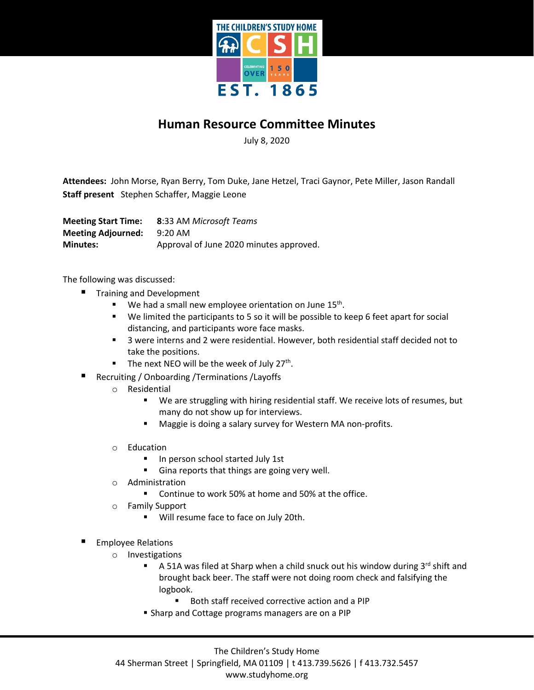

## **Human Resource Committee Minutes**

July 8, 2020

**Attendees:** John Morse, Ryan Berry, Tom Duke, Jane Hetzel, Traci Gaynor, Pete Miller, Jason Randall **Staff present** Stephen Schaffer, Maggie Leone

**Meeting Start Time: 8**:33 AM *Microsoft Teams* **Meeting Adjourned:** 9:20 AM **Minutes:** Approval of June 2020 minutes approved.

The following was discussed:

- Training and Development
	- $\blacksquare$  We had a small new employee orientation on June 15<sup>th</sup>.
	- We limited the participants to 5 so it will be possible to keep 6 feet apart for social distancing, and participants wore face masks.
	- 3 were interns and 2 were residential. However, both residential staff decided not to take the positions.
	- The next NEO will be the week of July  $27<sup>th</sup>$ .
- Recruiting / Onboarding /Terminations /Layoffs
	- o Residential
		- We are struggling with hiring residential staff. We receive lots of resumes, but many do not show up for interviews.
		- **Maggie is doing a salary survey for Western MA non-profits.**
	- o Education
		- In person school started July 1st
		- Gina reports that things are going very well.
	- o Administration
		- **Continue to work 50% at home and 50% at the office.**
	- o Family Support
		- **Will resume face to face on July 20th.**
- Employee Relations
	- o Investigations
		- A 51A was filed at Sharp when a child snuck out his window during  $3^{rd}$  shift and brought back beer. The staff were not doing room check and falsifying the logbook.
			- Both staff received corrective action and a PIP
		- **Sharp and Cottage programs managers are on a PIP**